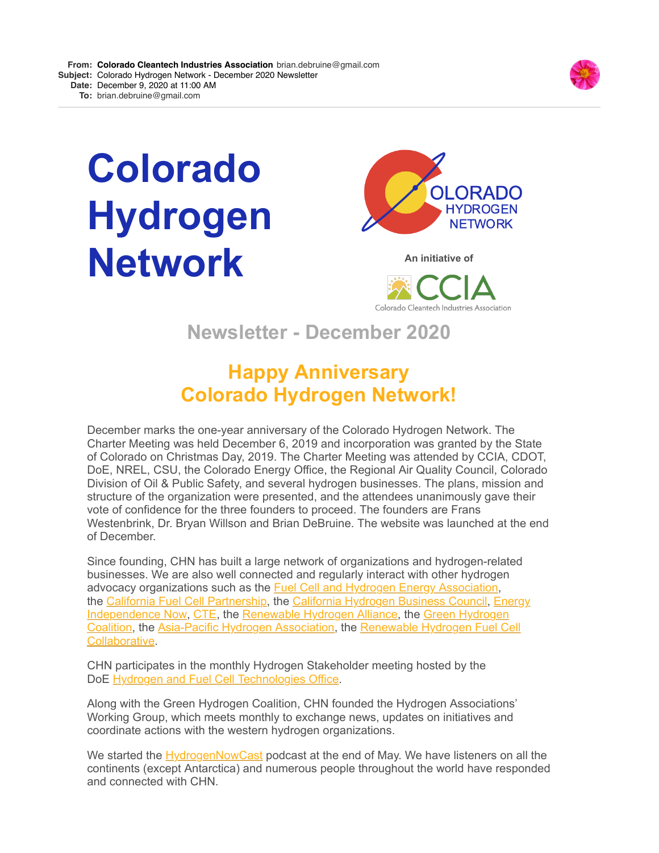

# **Colorado Hydrogen Network An initiative of**





**Newsletter - December 2020**

## **Happy Anniversary Colorado Hydrogen Network!**

December marks the one-year anniversary of the Colorado Hydrogen Network. The Charter Meeting was held December 6, 2019 and incorporation was granted by the State of Colorado on Christmas Day, 2019. The Charter Meeting was attended by CCIA, CDOT, DoE, NREL, CSU, the Colorado Energy Office, the Regional Air Quality Council, Colorado Division of Oil & Public Safety, and several hydrogen businesses. The plans, mission and structure of the organization were presented, and the attendees unanimously gave their vote of confidence for the three founders to proceed. The founders are Frans Westenbrink, Dr. Bryan Willson and Brian DeBruine. The website was launched at the end of December.

Since founding, CHN has built a large network of organizations and hydrogen-related businesses. We are also well connected and regularly interact with other hydrogen advocacy organizations such as the [Fuel Cell and Hydrogen Energy Association](http://r20.rs6.net/tn.jsp?f=001pUZNQgxbd8RTCvCWePXTE2pvbEKxJr7-u0_N2PnwLNVZgZBKHW-UgVxJSpGGDdFV9sTwlqUZi9-EOFbKvS1d_yKEAozYrTHTU9IiSIY-ZYmR45WoxFR3NwIUPc5WQSovljJtnek0Z_c=&c=u_lRfoORFP-qgPpCdpZ-LfH4NGIDsCfgiXZuZpNGOgMTc4CpSk-1dw==&ch=mF7eMV230MaDHilXUPyQJx07xr5rOwDoL7IpcqH45L2F8XMx9liwQA==), [the C](http://r20.rs6.net/tn.jsp?f=001pUZNQgxbd8RTCvCWePXTE2pvbEKxJr7-u0_N2PnwLNVZgZBKHW-UgZIOcaOes76jD-xLhUCJGBgcd0S8DTcSsN4HJ1HYppkbuktXGUfwB9q-x9O2LrxTTwz80-sJFR8QFHOuU-8hOxQ=&c=u_lRfoORFP-qgPpCdpZ-LfH4NGIDsCfgiXZuZpNGOgMTc4CpSk-1dw==&ch=mF7eMV230MaDHilXUPyQJx07xr5rOwDoL7IpcqH45L2F8XMx9liwQA==)[alifornia Fuel Cell Partnershi](http://r20.rs6.net/tn.jsp?f=001pUZNQgxbd8RTCvCWePXTE2pvbEKxJr7-u0_N2PnwLNVZgZBKHW-UgZIOcaOes76jtl-0SWQ6u7JM_utOzAlSObu_9HTRNax_iU-Y25Ni73H1GeA0XGBR84YVQQlhqBw3kUK8MAjQG08=&c=u_lRfoORFP-qgPpCdpZ-LfH4NGIDsCfgiXZuZpNGOgMTc4CpSk-1dw==&ch=mF7eMV230MaDHilXUPyQJx07xr5rOwDoL7IpcqH45L2F8XMx9liwQA==)[p, the C](http://r20.rs6.net/tn.jsp?f=001pUZNQgxbd8RTCvCWePXTE2pvbEKxJr7-u0_N2PnwLNVZgZBKHW-UgZIOcaOes76jD-xLhUCJGBgcd0S8DTcSsN4HJ1HYppkbuktXGUfwB9q-x9O2LrxTTwz80-sJFR8QFHOuU-8hOxQ=&c=u_lRfoORFP-qgPpCdpZ-LfH4NGIDsCfgiXZuZpNGOgMTc4CpSk-1dw==&ch=mF7eMV230MaDHilXUPyQJx07xr5rOwDoL7IpcqH45L2F8XMx9liwQA==)[alifornia Hydrogen Business Council](http://r20.rs6.net/tn.jsp?f=001pUZNQgxbd8RTCvCWePXTE2pvbEKxJr7-u0_N2PnwLNVZgZBKHW-UgZIOcaOes76jJE2YVhcDT10RzBCaGk3f-P5il2STo8zIArajs5Gw9vWHOQ_51Nhrq0WJT-VfkgCRQ6tIZ3YFY6P5Z3W504wDjFHq2Kx0aqds&c=u_lRfoORFP-qgPpCdpZ-LfH4NGIDsCfgiXZuZpNGOgMTc4CpSk-1dw==&ch=mF7eMV230MaDHilXUPyQJx07xr5rOwDoL7IpcqH45L2F8XMx9liwQA==)[,](http://r20.rs6.net/tn.jsp?f=001pUZNQgxbd8RTCvCWePXTE2pvbEKxJr7-u0_N2PnwLNVZgZBKHW-UgZIOcaOes76jD-xLhUCJGBgcd0S8DTcSsN4HJ1HYppkbuktXGUfwB9q-x9O2LrxTTwz80-sJFR8QFHOuU-8hOxQ=&c=u_lRfoORFP-qgPpCdpZ-LfH4NGIDsCfgiXZuZpNGOgMTc4CpSk-1dw==&ch=mF7eMV230MaDHilXUPyQJx07xr5rOwDoL7IpcqH45L2F8XMx9liwQA==) Energy Independence Now, [CTE](http://r20.rs6.net/tn.jsp?f=001pUZNQgxbd8RTCvCWePXTE2pvbEKxJr7-u0_N2PnwLNVZgZBKHW-UgZIOcaOes76jsdMPkLfepDoXrxdDHL5bs1LTLgOdhEW3BHh8ukSqYIh6cjLEFUs1NEcwr-EawvCICx33_KLJiAg=&c=u_lRfoORFP-qgPpCdpZ-LfH4NGIDsCfgiXZuZpNGOgMTc4CpSk-1dw==&ch=mF7eMV230MaDHilXUPyQJx07xr5rOwDoL7IpcqH45L2F8XMx9liwQA==), the [Renewable Hydrogen Alliance,](http://r20.rs6.net/tn.jsp?f=001pUZNQgxbd8RTCvCWePXTE2pvbEKxJr7-u0_N2PnwLNVZgZBKHW-UgZIOcaOes76jbh44cBxrlk33ffxA5frdXt-V0I0psIIILgiV-Y5FqEsI71ruqBjl_4xZej8XoGKe_y26XLS5jPEVUsLM8NCZig==&c=u_lRfoORFP-qgPpCdpZ-LfH4NGIDsCfgiXZuZpNGOgMTc4CpSk-1dw==&ch=mF7eMV230MaDHilXUPyQJx07xr5rOwDoL7IpcqH45L2F8XMx9liwQA==) the Green Hydrogen Coalition, the [Asia-Pacific Hydrogen Association, the Renewable Hydrogen Fuel](http://r20.rs6.net/tn.jsp?f=001pUZNQgxbd8RTCvCWePXTE2pvbEKxJr7-u0_N2PnwLNVZgZBKHW-UgWBrUy8siBvB_VxyIDECo1cpE6fFheupUDv1O0iRnFUv3sZJpcwHxMDH9nByTs9BvONMPC1Uk_3C2NsssawlQ45yfMvcSYhZhw==&c=u_lRfoORFP-qgPpCdpZ-LfH4NGIDsCfgiXZuZpNGOgMTc4CpSk-1dw==&ch=mF7eMV230MaDHilXUPyQJx07xr5rOwDoL7IpcqH45L2F8XMx9liwQA==) [Cell](http://r20.rs6.net/tn.jsp?f=001pUZNQgxbd8RTCvCWePXTE2pvbEKxJr7-u0_N2PnwLNVZgZBKHW-UgY37M4QwClFapviqVolx1Yx4k5jiMQkp8fvD9wOxtk3jWPGFxUoKNx5qBp2PyaVj2F-_Rq_4gnVjt18dJd3d3GiHoEQlxK6uI74yq7uYkF8m0gMGf_hEUJU=&c=u_lRfoORFP-qgPpCdpZ-LfH4NGIDsCfgiXZuZpNGOgMTc4CpSk-1dw==&ch=mF7eMV230MaDHilXUPyQJx07xr5rOwDoL7IpcqH45L2F8XMx9liwQA==) Collaborative.

CHN participates in the monthly Hydrogen Stakeholder meeting hosted by the DoE **Hydrogen and Fuel Cell Technologies Office**.

Along with the Green Hydrogen Coalition, CHN founded the Hydrogen Associations' Working Group, which meets monthly to exchange news, updates on initiatives and coordinate actions with the western hydrogen organizations.

We started the [HydrogenNowCast](http://r20.rs6.net/tn.jsp?f=001pUZNQgxbd8RTCvCWePXTE2pvbEKxJr7-u0_N2PnwLNVZgZBKHW-UgT-y5G29OBIcNK-XyLsFnVtZkmcNHANsur9kgEaxCDOPfUZn44K1r4-ntK9GRjTkron3TIRXCNz81EjbpXwLbJUILfyjOsENPmSOtq5SCI-Dm4yxHUZI7dQ=&c=u_lRfoORFP-qgPpCdpZ-LfH4NGIDsCfgiXZuZpNGOgMTc4CpSk-1dw==&ch=mF7eMV230MaDHilXUPyQJx07xr5rOwDoL7IpcqH45L2F8XMx9liwQA==) podcast at the end of May. We have listeners on all the continents (except Antarctica) and numerous people throughout the world have responded and connected with CHN.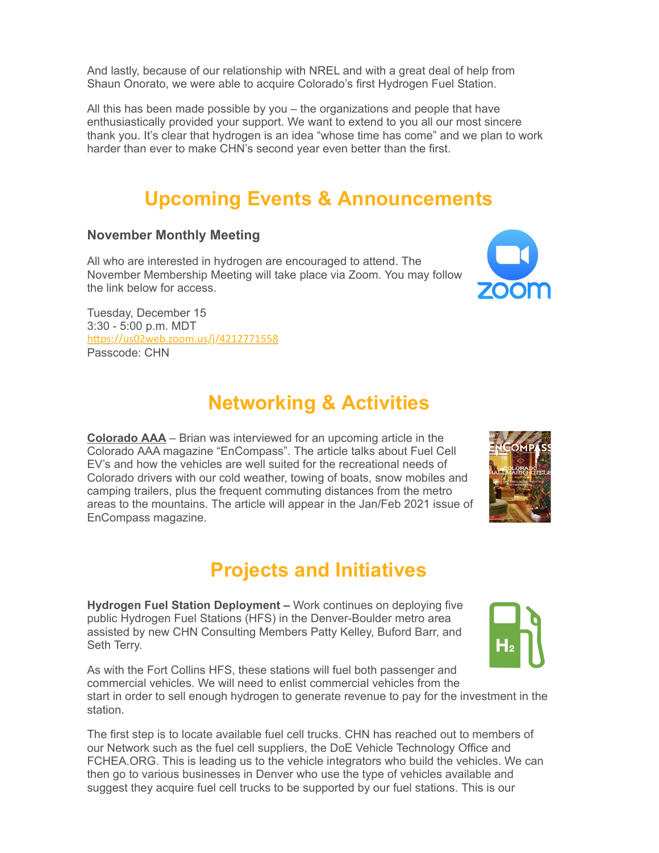And lastly, because of our relationship with NREL and with a great deal of help from Shaun Onorato, we were able to acquire Colorado's first Hydrogen Fuel Station.

All this has been made possible by you – the organizations and people that have enthusiastically provided your support. We want to extend to you all our most sincere thank you. It's clear that hydrogen is an idea "whose time has come" and we plan to work harder than ever to make CHN's second year even better than the first.

## **Upcoming Events & Announcements**

#### **November Monthly Meeting**

All who are interested in hydrogen are encouraged to attend. The November Membership Meeting will take place via Zoom. You may follow the link below for access.

Tuesday, December 15 3:30 - 5:00 p.m. MDT https://us02web.zoom.us/j/4212771558 Passcode: CHN

## **Networking & Activities**

**[Colorado AAA](http://r20.rs6.net/tn.jsp?f=001pUZNQgxbd8RTCvCWePXTE2pvbEKxJr7-u0_N2PnwLNVZgZBKHW-UgZIOcaOes76jaCFEmioWHlAcl3kKNrjlQH9u4_OXY6NLAFz4G4S5keuGXvAgZsPeX6bsrISxs46DCXIQbuqQAX6-WLZY_KdeaU89EvbNKHPh&c=u_lRfoORFP-qgPpCdpZ-LfH4NGIDsCfgiXZuZpNGOgMTc4CpSk-1dw==&ch=mF7eMV230MaDHilXUPyQJx07xr5rOwDoL7IpcqH45L2F8XMx9liwQA==)** – Brian was interviewed for an upcoming article in the Colorado AAA magazine "EnCompass". The article talks about Fuel Cell EV's and how the vehicles are well suited for the recreational needs of Colorado drivers with our cold weather, towing of boats, snow mobiles and camping trailers, plus the frequent commuting distances from the metro areas to the mountains. The article will appear in the Jan/Feb 2021 issue of EnCompass magazine.

# **Projects and Initiatives**

**Hydrogen Fuel Station Deployment –** Work continues on deploying five public Hydrogen Fuel Stations (HFS) in the Denver-Boulder metro area assisted by new CHN Consulting Members Patty Kelley, Buford Barr, and Seth Terry.

As with the Fort Collins HFS, these stations will fuel both passenger and commercial vehicles. We will need to enlist commercial vehicles from the start in order to sell enough hydrogen to generate revenue to pay for the investment in the station.

The first step is to locate available fuel cell trucks. CHN has reached out to members of our Network such as the fuel cell suppliers, the DoE Vehicle Technology Office and FCHEA.ORG. This is leading us to the vehicle integrators who build the vehicles. We can then go to various businesses in Denver who use the type of vehicles available and suggest they acquire fuel cell trucks to be supported by our fuel stations. This is our





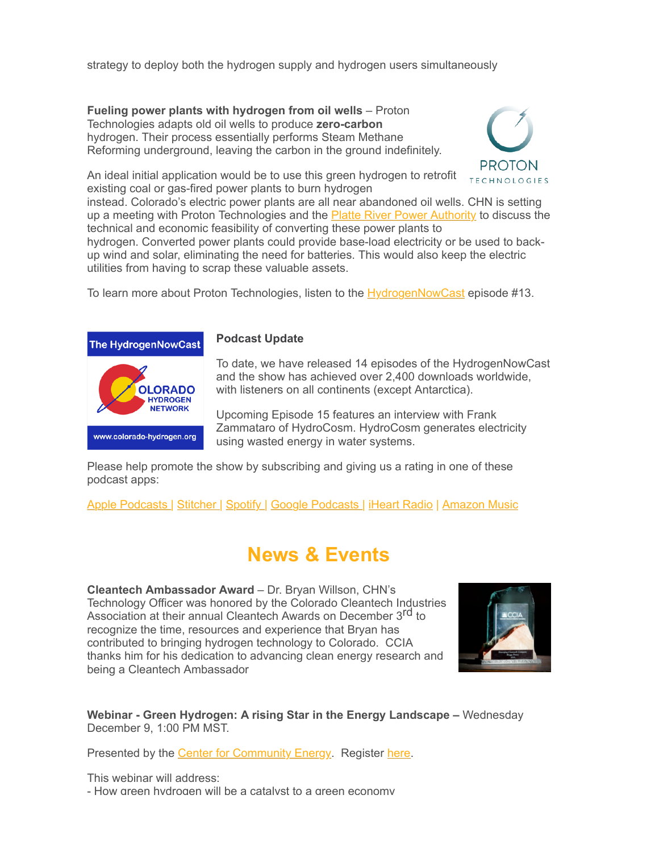strategy to deploy both the hydrogen supply and hydrogen users simultaneously

**Fueling power plants with hydrogen from oil wells** – Proton Technologies adapts old oil wells to produce **zero-carbon** hydrogen. Their process essentially performs Steam Methane Reforming underground, leaving the carbon in the ground indefinitely.



An ideal initial application would be to use this green hydrogen to retrofit existing coal or gas-fired power plants to burn hydrogen

instead. Colorado's electric power plants are all near abandoned oil wells. CHN is setting up a meeting with Proton Technologies and the [Platte River Power Authority](http://r20.rs6.net/tn.jsp?f=001pUZNQgxbd8RTCvCWePXTE2pvbEKxJr7-u0_N2PnwLNVZgZBKHW-UgZIOcaOes76jL_L4-1X7fw04hyRWOEYIcoEYMXLF1VSy4RdEZ-oAWaEaZp2hwbHbOsTeaczk_G6Y-2wDt2SGocpf4QF8smsFCkVrB-Xjl0aG&c=u_lRfoORFP-qgPpCdpZ-LfH4NGIDsCfgiXZuZpNGOgMTc4CpSk-1dw==&ch=mF7eMV230MaDHilXUPyQJx07xr5rOwDoL7IpcqH45L2F8XMx9liwQA==) to discuss the technical and economic feasibility of converting these power plants to

hydrogen. Converted power plants could provide base-load electricity or be used to backup wind and solar, eliminating the need for batteries. This would also keep the electric utilities from having to scrap these valuable assets.

To learn more about Proton Technologies, listen to the **HydrogenNowCast** episode #13.



#### **Podcast Update**

To date, we have released 14 episodes of the HydrogenNowCast and the show has achieved over 2,400 downloads worldwide, with listeners on all continents (except Antarctica).

Upcoming Episode 15 features an interview with Frank Zammataro of HydroCosm. HydroCosm generates electricity using wasted energy in water systems.

Please help promote the show by subscribing and giving us a rating in one of these podcast apps:

[Apple Podcasts |](http://r20.rs6.net/tn.jsp?f=001pUZNQgxbd8RTCvCWePXTE2pvbEKxJr7-u0_N2PnwLNVZgZBKHW-Ugf5rCZ0usTjq8kIAV96ryt4hDBdF1mqA26GRmuNMSJoFCZ8xEZD2IWizmBvSEM8SkNvGrASUHQF0jPnfvuENg2F3Wn2kBiWj23JmWZLF7aoxItaqH1fgPJZxUgKJEXacrZbKoZk0_rfge6TLl1p8-NgUr_G5-Nmm1Q==&c=u_lRfoORFP-qgPpCdpZ-LfH4NGIDsCfgiXZuZpNGOgMTc4CpSk-1dw==&ch=mF7eMV230MaDHilXUPyQJx07xr5rOwDoL7IpcqH45L2F8XMx9liwQA==) [Stitcher |](http://r20.rs6.net/tn.jsp?f=001pUZNQgxbd8RTCvCWePXTE2pvbEKxJr7-u0_N2PnwLNVZgZBKHW-UgRm1s_4C8SFQCMFnaAZZRlH0tHfbOKLG1fe9RyB9iqWyEto6eyeImHG4zRUqgKdPKPm6p2b6Yu-pd3ZCUbIx5L6_tYBfUgWyagBENYu6hWRWUfjKAMpS9IDfJPE3qBn9s4yfJbj5kOzf&c=u_lRfoORFP-qgPpCdpZ-LfH4NGIDsCfgiXZuZpNGOgMTc4CpSk-1dw==&ch=mF7eMV230MaDHilXUPyQJx07xr5rOwDoL7IpcqH45L2F8XMx9liwQA==) [Spotify |](http://r20.rs6.net/tn.jsp?f=001pUZNQgxbd8RTCvCWePXTE2pvbEKxJr7-u0_N2PnwLNVZgZBKHW-UgRm1s_4C8SFQnNABnM5WZrxH3XurXnZ9ELbiEAA4CLzkBs-0jRhYsOuHqTR0C29iW3EcSusmO5OmLu1uLSjXQSgoRlpf0Aza4EpNgeuVuAICpPjV2aXUPk0qAT_d2RO7yQ==&c=u_lRfoORFP-qgPpCdpZ-LfH4NGIDsCfgiXZuZpNGOgMTc4CpSk-1dw==&ch=mF7eMV230MaDHilXUPyQJx07xr5rOwDoL7IpcqH45L2F8XMx9liwQA==) [Google Podcasts |](http://r20.rs6.net/tn.jsp?f=001pUZNQgxbd8RTCvCWePXTE2pvbEKxJr7-u0_N2PnwLNVZgZBKHW-UgRm1s_4C8SFQF66jp_hXI-dYIQjAt1tXj2xFpX-z_wSccIouaLus4hXTFNxNlGoIaBHbx0SG_F15Afoex96iO3oLMGSxaEd3okN5XOzaAXB6X_QgqkMkW0ZyDfHHjwHSG9tAkO_7808RRGDNzhxolfFHGUZJABgRRYrZiftCWfMKzuygO_G-VnQ=&c=u_lRfoORFP-qgPpCdpZ-LfH4NGIDsCfgiXZuZpNGOgMTc4CpSk-1dw==&ch=mF7eMV230MaDHilXUPyQJx07xr5rOwDoL7IpcqH45L2F8XMx9liwQA==) [iHeart Radio](http://r20.rs6.net/tn.jsp?f=001pUZNQgxbd8RTCvCWePXTE2pvbEKxJr7-u0_N2PnwLNVZgZBKHW-UgRm1s_4C8SFQu23xf5rXIrRtK4va0MrdudirdBoZLs-oCQLgTJTQ87l4dBySCDp9C5x20MX0yk7LcdKRv9DsBnDDVet7zUz2_47VASl1QaVS3ZPLx6BLaJc1XIf1gy5f23YmwoxaR1GdMTueCiGsSbg=&c=u_lRfoORFP-qgPpCdpZ-LfH4NGIDsCfgiXZuZpNGOgMTc4CpSk-1dw==&ch=mF7eMV230MaDHilXUPyQJx07xr5rOwDoL7IpcqH45L2F8XMx9liwQA==) | [Amazon Music](http://r20.rs6.net/tn.jsp?f=001pUZNQgxbd8RTCvCWePXTE2pvbEKxJr7-u0_N2PnwLNVZgZBKHW-UgT-y5G29OBIcqt_gRE7jXysnszI3RFO0giqIsUGW3tP-wmU_i5ME_p_8PhA-VDpkj3ib8ThRLOCX3Q85itqFSxJtzBJT-KtNtXz6WyAlRagr1TlqO6u21VUjL5Oy8-2PV1zioHJkZi7s96lU55ZkW9Wyiex9olnDS4Cz_mHGVA0PoTdm2Vstkr4=&c=u_lRfoORFP-qgPpCdpZ-LfH4NGIDsCfgiXZuZpNGOgMTc4CpSk-1dw==&ch=mF7eMV230MaDHilXUPyQJx07xr5rOwDoL7IpcqH45L2F8XMx9liwQA==)

#### **News & Events**

**Cleantech Ambassador Award** – Dr. Bryan Willson, CHN's Technology Officer was honored by the Colorado Cleantech Industries Association at their annual Cleantech Awards on December 3<sup>rd</sup> to recognize the time, resources and experience that Bryan has contributed to bringing hydrogen technology to Colorado. CCIA thanks him for his dedication to advancing clean energy research and being a Cleantech Ambassador



**Webinar - Green Hydrogen: A rising Star in the Energy Landscape –** Wednesday December 9, 1:00 PM MST.

Presented by the [Center for Community Energy.](http://r20.rs6.net/tn.jsp?f=001pUZNQgxbd8RTCvCWePXTE2pvbEKxJr7-u0_N2PnwLNVZgZBKHW-UgZIOcaOes76juQh-fRdQ2n1MW0vXl9CRylAcWk96RnYwCOytxE0d1WS2bLR_XVRHg2LQEfdfpBt83sIEnjA-xkzfmNEbk8DZqOOA5ygnYuvI&c=u_lRfoORFP-qgPpCdpZ-LfH4NGIDsCfgiXZuZpNGOgMTc4CpSk-1dw==&ch=mF7eMV230MaDHilXUPyQJx07xr5rOwDoL7IpcqH45L2F8XMx9liwQA==) Register [here.](http://r20.rs6.net/tn.jsp?f=001pUZNQgxbd8RTCvCWePXTE2pvbEKxJr7-u0_N2PnwLNVZgZBKHW-UgZIOcaOes76ja4Hcpc3bv0h3YRH2O-uTfnFc1wguY227OmlS4eN86Np3edj5Osr-taxTXrXz8FXBmqonAN6n8Q6Rxcd0OW9mJVrcOHLgZzzaY0Nb8ADkruaKA-D2ny4jZw1hd5VSz0I6iuikVRcyO6sFCAHrbu_-Ew==&c=u_lRfoORFP-qgPpCdpZ-LfH4NGIDsCfgiXZuZpNGOgMTc4CpSk-1dw==&ch=mF7eMV230MaDHilXUPyQJx07xr5rOwDoL7IpcqH45L2F8XMx9liwQA==)

This webinar will address: - How green hydrogen will be a catalyst to a green economy